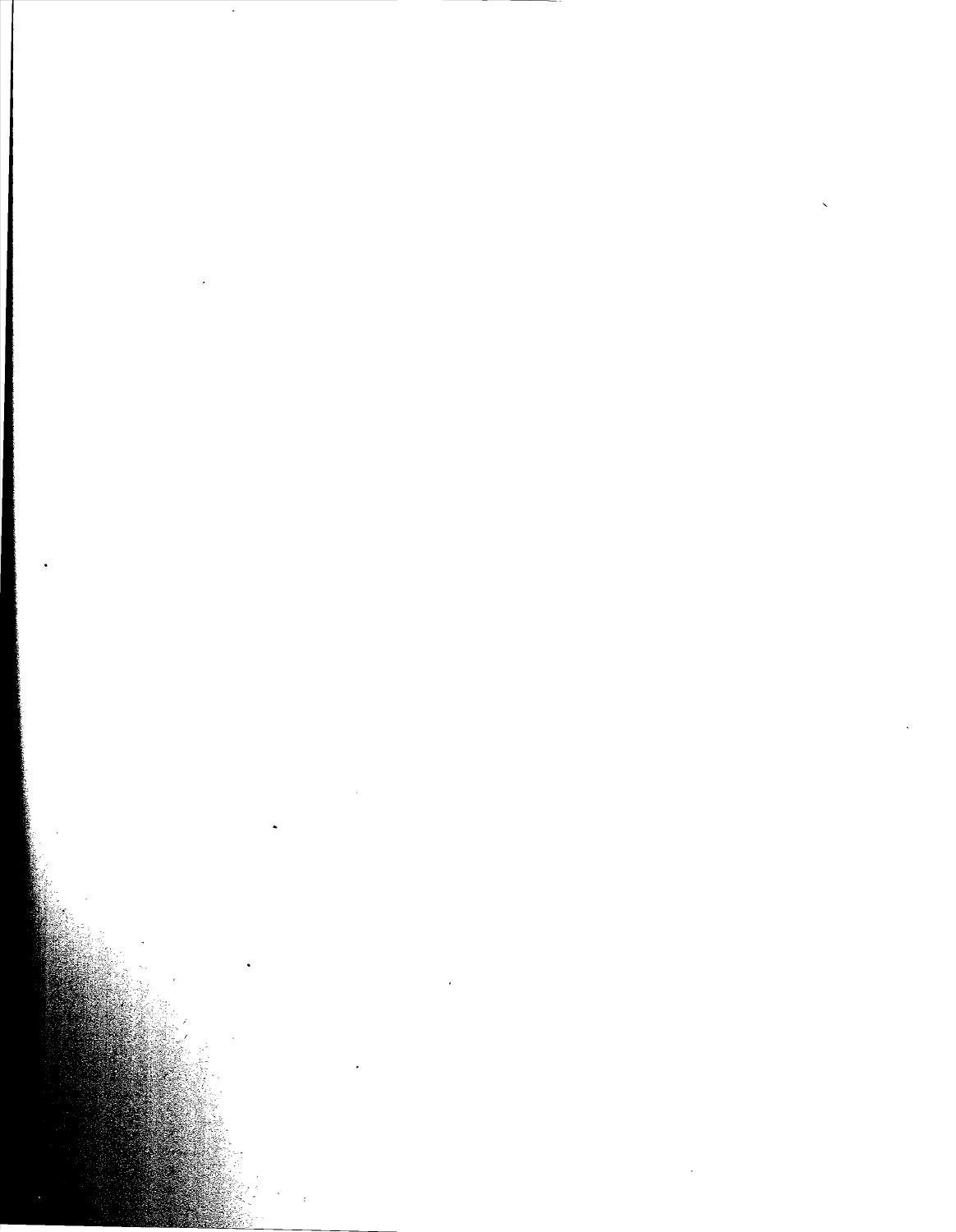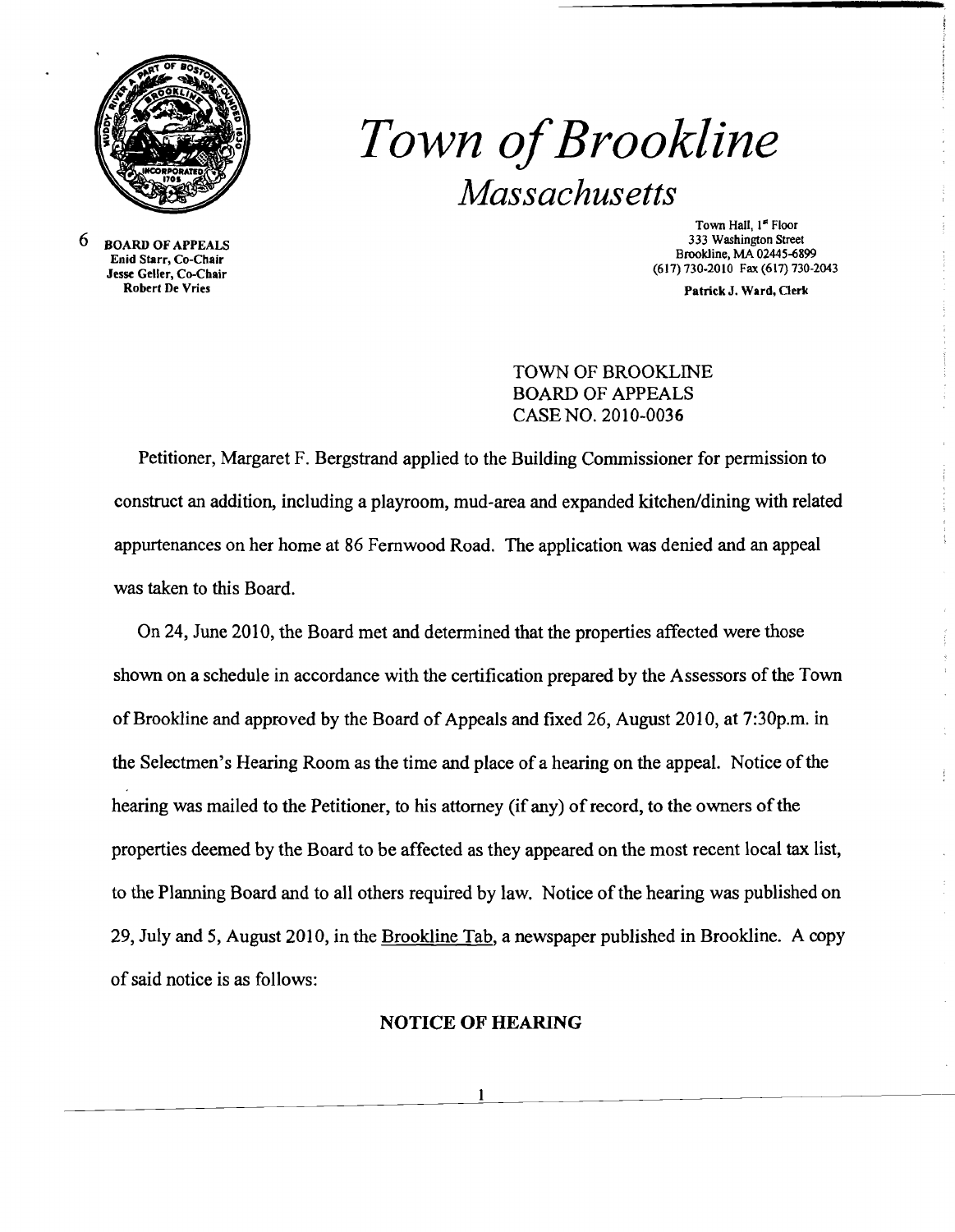

# *Town ofBrookline Massachusetts*

6 BOARD OF APPEALS Enid Starr, Co-Chair Jesse Geller, Co-Chair Roberl De Vries

Town Hall, 1<sup>st</sup> Floor 333 Washingron Streel Brookline, MA 02445-6899 (617) 730·2010 Fax (617)730-2043

Patrick J. Ward, Clerk

 $\mathfrak{f}$ 

TOWN OF BROOKLINE BOARD OF APPEALS CASE NO. 2010-0036

Petitioner, Margaret F. Bergstrand applied to the Building Commissioner for permission to construct an addition, including a playroom, mud-area and expanded kitchen/dining with related appurtenances on her home at 86 Fernwood Road. The application was denied and an appeal was taken to this Board.

On 24, June 2010, the Board met and determined that the properties affected were those shown on a schedule in accordance with the certification prepared by the Assessors of the Town ofBrookline and approved by the Board of Appeals and fixed 26, August 2010, at 7:30p.m. in the Selectmen's Hearing Room as the time and place of a hearing on the appeal. Notice of the hearing was mailed to the Petitioner, to his attorney (if any) of record, to the owners of the properties deemed by the Board to be affected as they appeared on the most recent local tax list, to the Planning Board and to all others required by law. Notice of the hearing was published on 29, July and 5, August 2010, in the Brookline Tab, a newspaper published in Brookline. A copy of said notice is as follows:

#### **NOTICE OF HEARING**

 $\mathbf{1}$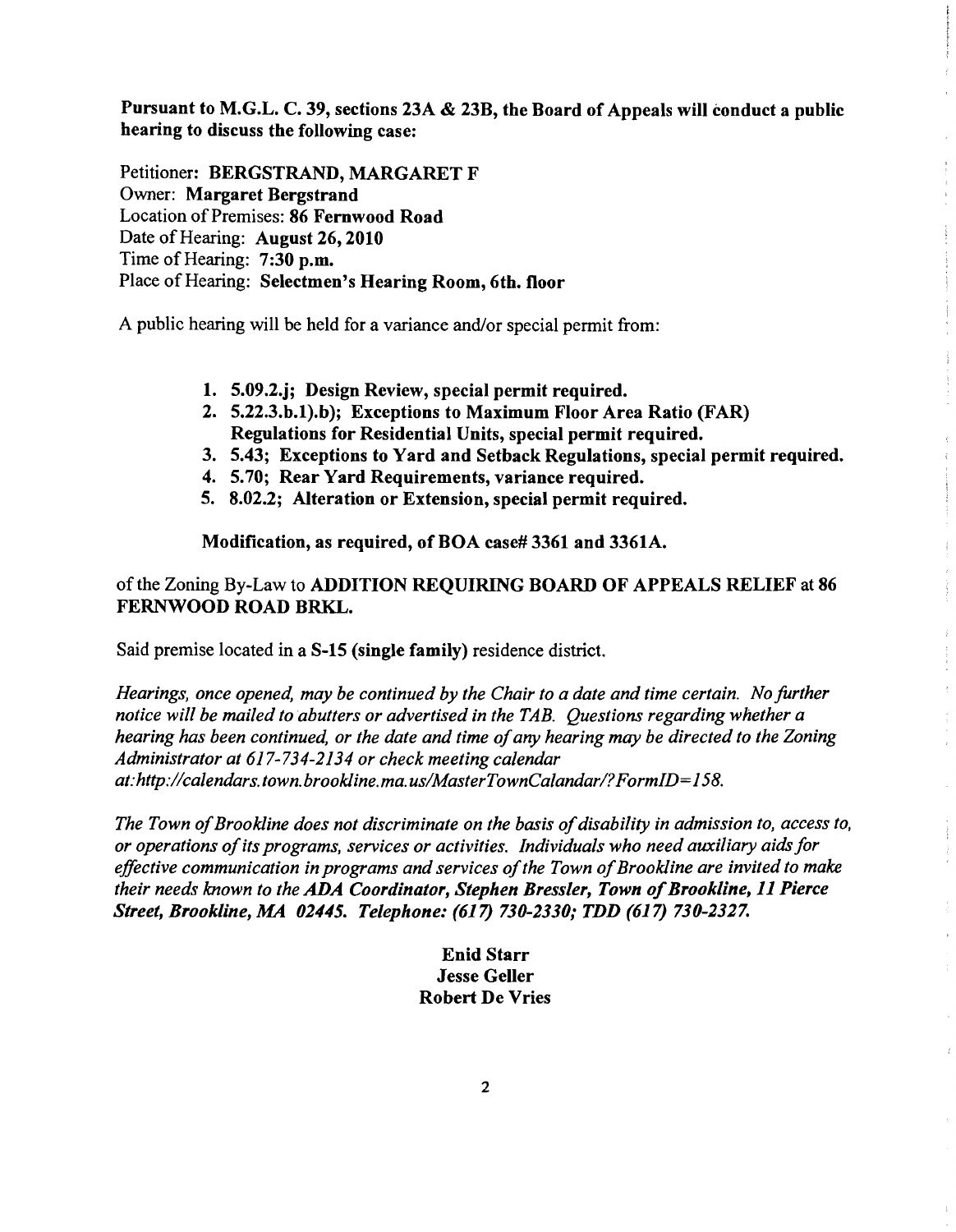Pursuant to M.G.L. C. 39, sections 23A & 23B, the Board of Appeals will conduct a public hearing to discuss the following case:

Petitioner: BERGSTRAND, MARGARET F Owner: Margaret Bergstrand Location of Premises: 86 Fernwood Road Date of Hearing: August 26, 2010 Time of Hearing: 7:30 p.m. Place of Hearing: Selectmen's Hearing Room, 6th. floor

A public hearing will be held for a variance and/or special permit from:

- 1. 5.09.2.j; Design Review, special permit required.
- 2. 5.22.3.b.l).b); Exceptions to Maximum Floor Area Ratio (FAR) Regulations for Residential Units, special permit required.
- 3. 5.43; Exceptions to Yard and Setback Regulations, special permit required.
- 4. 5.70; Rear Yard Requirements, variance required.
- 5. 8.02.2; Alteration or Extension, special permit required.

Modification, as required, of BOA case# 3361 and 3361A.

#### of the Zoning By-Law to ADDITION REQUIRING BOARD OF APPEALS RELIEF at 86 FERNWOOD ROAD BRKL.

Said premise located in a S-15 (single family) residence district.

*Hearings, once opened, may be continued by the Chair to a date and time certain. No further notice will be mailed to abutters or advertised in the TAB. Questions regarding whether a hearing has been continued, or the date and time ofany hearing may be directed to the Zoning Administrator at* 617-734-2134 *or check meeting calendar*  at:http://calendars.town.brookline.ma.us/MasterTownCalandar/?FormID=158.

The Town of Brookline does not discriminate on the basis of disability in admission to, access to, *or operations ofits programs, services or activities. Individuals who need auxiliary aids for*  effective communication in programs and services of the Town of Brookline are invited to make *their needs known to the* ADA *Coordinator, Stephen Bressler, Town ofBrookline,* 11 *Pierce Street, Brookline, MA 02445. Telephone:* (617) *730-2330,. TDD* (617) *730-2327.* 

 $\frac{1}{2}$ Ŷ.

 $\mathbf{r}$ 

## Enid Starr Jesse Geller Robert De Vries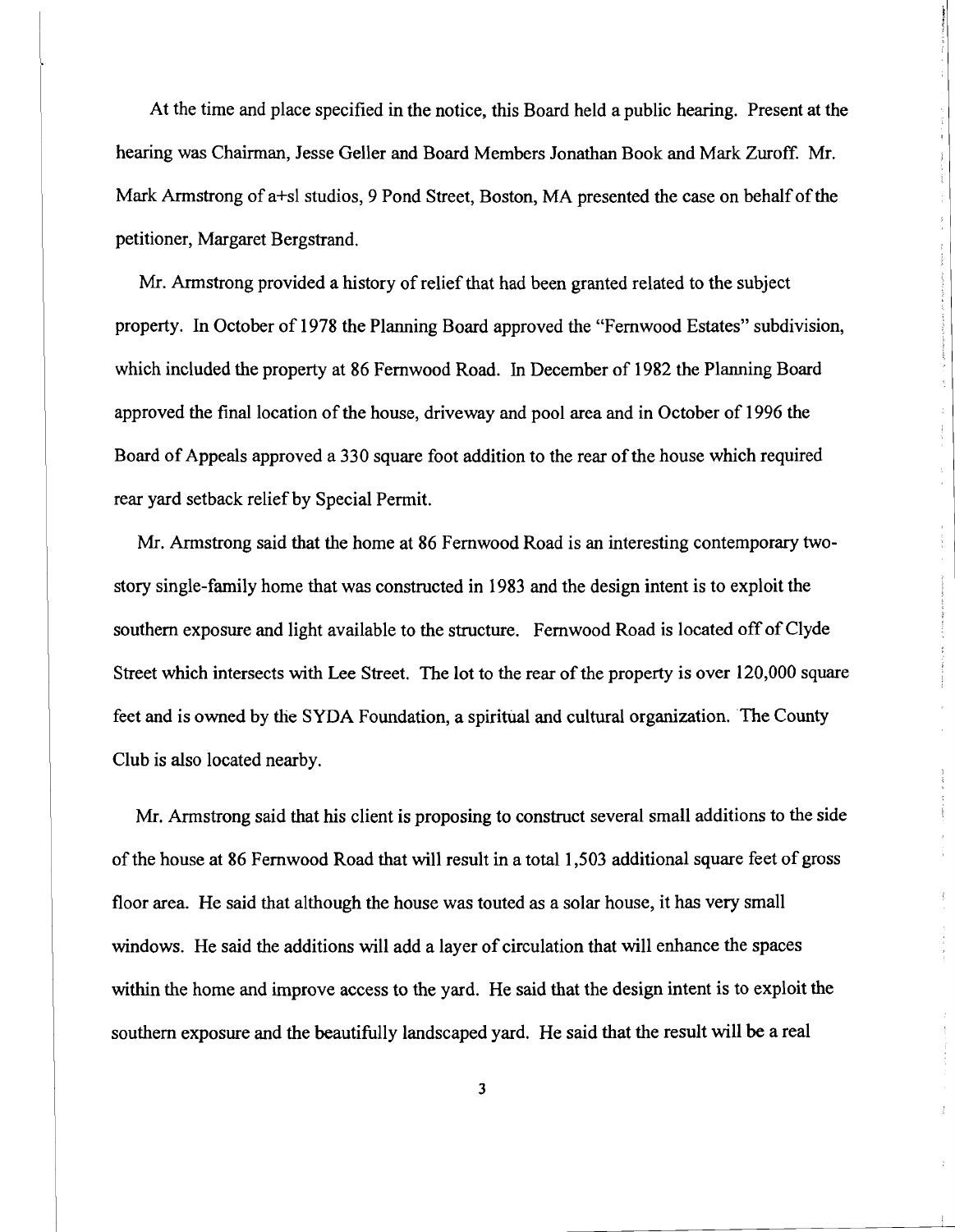At the time and place specified in the notice, this Board held a public hearing. Present at the hearing was Chairman, Jesse Geller and Board Members Jonathan Book and Mark Zuroff. Mr. Mark Armstrong of  $a + s$  studios, 9 Pond Street, Boston, MA presented the case on behalf of the petitioner, Margaret Bergstrand.

Mr. Armstrong provided a history of relief that had been granted related to the subject property. In October of 1978 the Planning Board approved the "Fernwood Estates" subdivision, which included the property at 86 Fernwood Road. In December of 1982 the Planning Board approved the final location of the house, driveway and pool area and in October of 1996 the Board of Appeals approved a 330 square foot addition to the rear of the house which required rear yard setback relief by Special Permit.

Mr. Armstrong said that the home at 86 Fernwood Road is an interesting contemporary twostory single-family home that was constructed in 1983 and the design intent is to exploit the southern exposure and light available to the structure. Fernwood Road is located off of Clyde Street which intersects with Lee Street. The lot to the rear of the property is over 120,000 square feet and is owned by the SYDA Foundation, a spiritual and cultural organization. The County Club is also located nearby.

Mr. Armstrong said that his client is proposing to construct several small additions to the side of the house at 86 Fernwood Road that will result in a total 1,503 additional square feet of gross floor area. He said that although the house was touted as a solar house, it has very small windows. He said the additions will add a layer of circulation that will enhance the spaces within the home and improve access to the yard. He said that the design intent is to exploit the southern exposure and the beautifully landscaped yard. He said that the result will be a real

3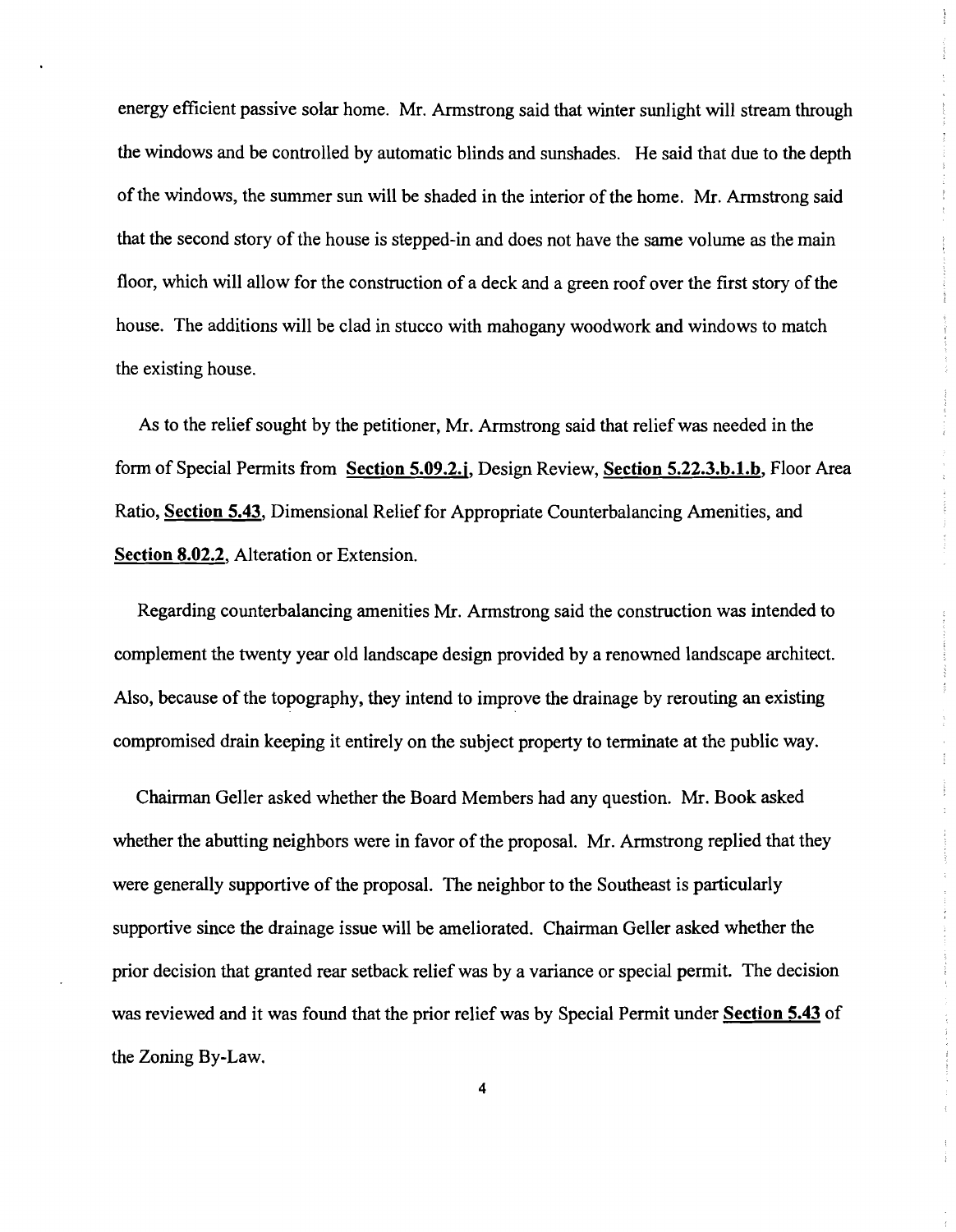energy efficient passive solar home. Mr. Armstrong said that winter sunlight will stream through the windows and be controlled by automatic blinds and sunshades. He said that due to the depth of the windows, the summer sun will be shaded in the interior of the home. Mr. Armstrong said that the second story of the house is stepped-in and does not have the same volume as the main floor, which will allow for the construction of a deck and a green roof over the first story of the house. The additions will be clad in stucco with mahogany woodwork and windows to match the existing house.

As to the relief sought by the petitioner, Mr. Armstrong said that relief was needed in the form of Special Permits from Section 5.09.2.j, Design Review, Section 5.22.3.b.1.b, Floor Area Ratio, Section 5.43, Dimensional Relief for Appropriate Counterbalancing Amenities, and Section 8.02.2, Alteration or Extension.

Regarding counterbalancing amenities Mr. Armstrong said the construction was intended to complement the twenty year old landscape design provided by a renowned landscape architect. Also, because of the topography, they intend to improve the drainage by rerouting an existing compromised drain keeping it entirely on the subject property to terminate at the public way.

Chairman Geller asked whether the Board Members had any question. Mr. Book asked whether the abutting neighbors were in favor of the proposal. Mr. Armstrong replied that they were generally supportive of the proposal. The neighbor to the Southeast is particularly supportive since the drainage issue will be ameliorated. Chairman Geller asked whether the prior decision that granted rear setback relief was by a variance or special permit. The decision was reviewed and it was found that the prior relief was by Special Permit under Section 5.43 of the Zoning By-Law.

4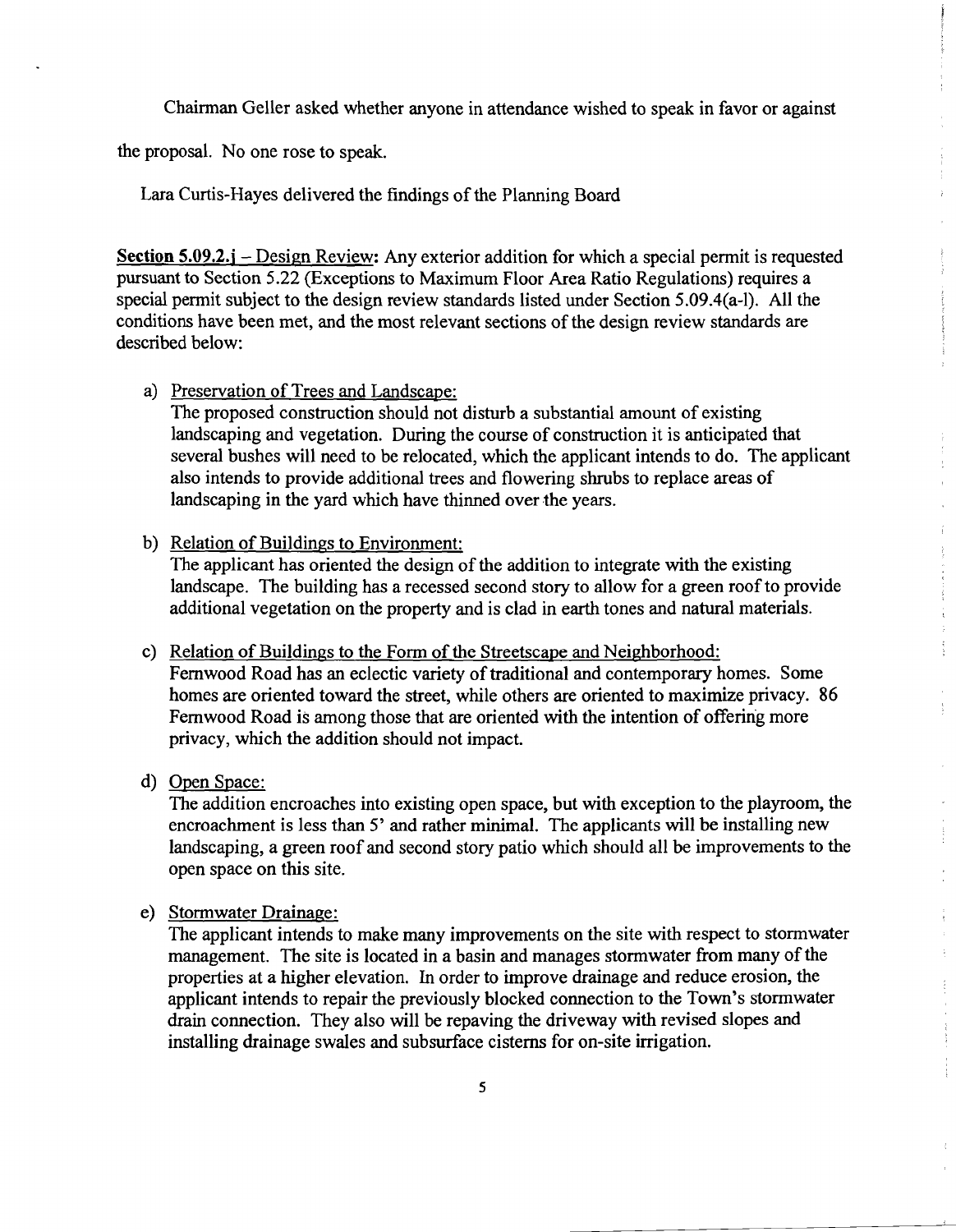Chairman Geller asked whether anyone in attendance wished to speak in favor or against

the proposal. No one rose to speak.

Lara Curtis-Hayes delivered the findings of the Planning Board

Section 5.09.2.j – Design Review: Any exterior addition for which a special permit is requested pursuant to Section 5.22 (Exceptions to Maximum Floor Area Ratio Regulations) requires a special permit subject to the design review standards listed under Section 5.09.4(a-I). All the conditions have been met, and the most relevant sections of the design review standards are described below:

a) Preservation of Trees and Landscape:

The proposed construction should not disturb a substantial amount of existing landscaping and vegetation. During the course of construction it is anticipated that several bushes will need to be relocated, which the applicant intends to do. The applicant also intends to provide additional trees and flowering shrubs to replace areas of landscaping in the yard which have thinned over the years.

b) Relation of Buildings to Environment:

The applicant has oriented the design of the addition to integrate with the existing landscape. The building has a recessed second story to allow for a green roof to provide additional vegetation on the property and is clad in earth tones and natural materials.

ì.  $\mathfrak{c}$ 

 $\begin{array}{cc} 1 & 0 \\ 0 & 1 \\ 0 & 0 \end{array}$ 

 $\frac{1}{2}$ 

 $\frac{1}{\epsilon}$ 

 $\frac{1}{2}$ 

- c) Relation of Buildings to the Form of the Streetscape and Neighborhood: Fernwood Road has an eclectic variety of traditional and contemporary homes. Some homes are oriented toward the street, while others are oriented to maximize privacy. 86 Fernwood Road is among those that are oriented with the intention of offering more privacy, which the addition should not impact.
- d) Open Space:

The addition encroaches into existing open space, but with exception to the playroom, the encroachment is less than 5' and rather minimal. The applicants will be installing new landscaping, a green roof and second story patio which should all be improvements to the open space on this site.

e) Stormwater Drainage:

The applicant intends to make many improvements on the site with respect to stormwater management. The site is located in a basin and manages stormwater from many of the properties at a higher elevation. In order to improve drainage and reduce erosion, the applicant intends to repair the previously blocked connection to the Town's storrnwater drain connection. They also will be repaving the driveway with revised slopes and installing drainage swales and subsurface cisterns for on-site irrigation.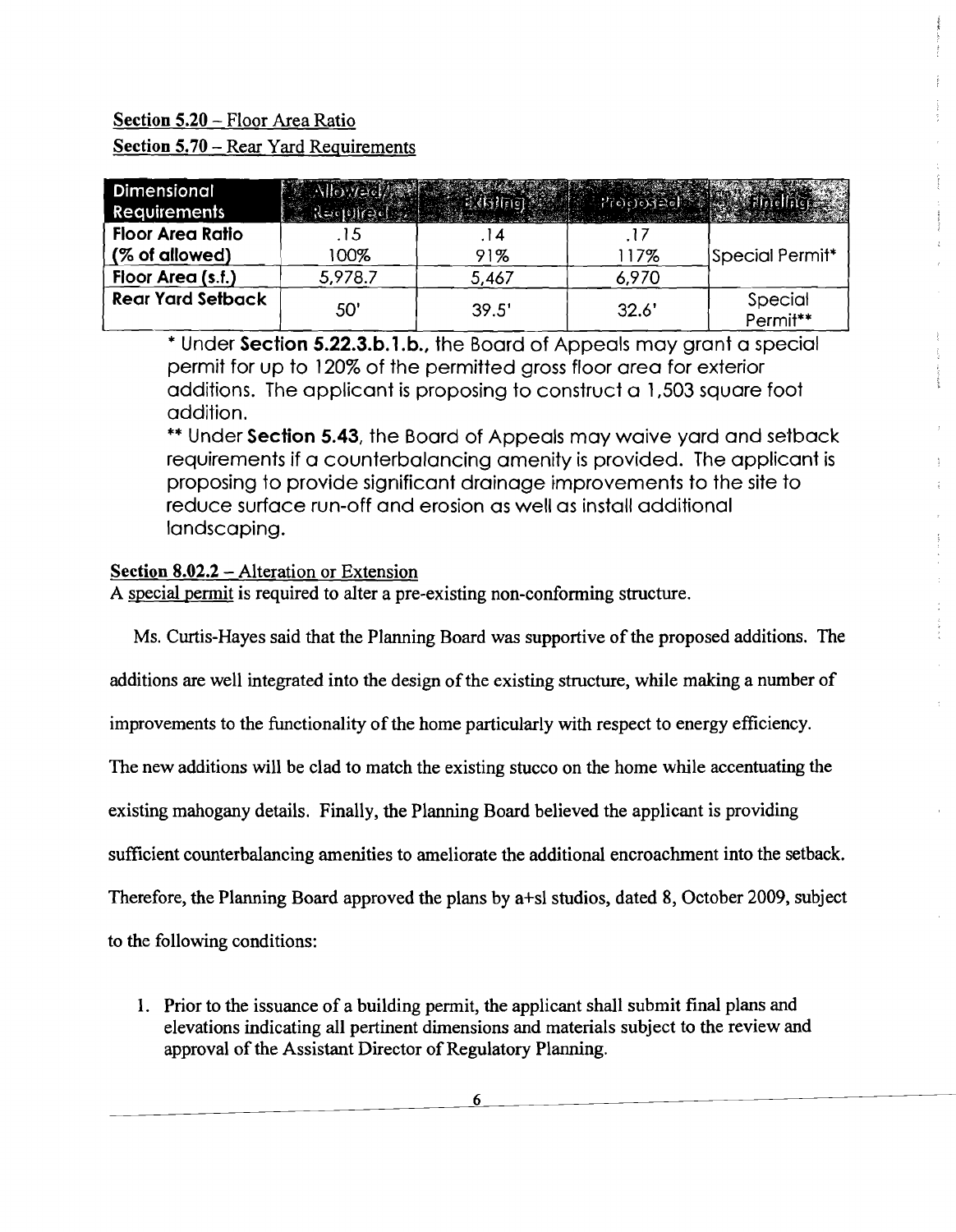# Section 5.20 - Floor Area Ratio Section 5.70 – Rear Yard Requirements

| <b>Dimensional</b><br><b>Requirements</b> | kadellise |       |       |                     |
|-------------------------------------------|-----------|-------|-------|---------------------|
| <b>Floor Area Ratio</b>                   | 15        |       |       |                     |
| (% of allowed)                            | 100%      | 91%   | 117%  | Special Permit*     |
| Floor Area (s.f.)                         | 5,978.7   | 5,467 | 6,970 |                     |
| <b>Rear Yard Setback</b>                  | 50'       | 39.5' | 32.6' | Special<br>Permit** |

\* Under Section 5.22.3.b.l.b., the Board of Appeals may grant a special permit for up to 120% of the permitted gross floor area for exterior additions. The applicant is proposing to construct a 1,503 square foot addition.

\*\* Under Section 5.43, the Board of Appeals may waive yard and setback requirements if a counterbalancing amenity is provided. The applicant is proposing to provide significant drainage improvements to the site to reduce surface run-off and erosion as well as install additional landscaping.

### Section 8.02.2 - Alteration or Extension

A special permit is required to alter a pre-existing non-conforming structure.

Ms. Curtis-Hayes said that the Planning Board was supportive of the proposed additions. The

additions are well integrated into the design of the existing structure, while making a number of

improvements to the functionality of the home particularly with respect to energy efficiency.

The new additions will be clad to match the existing stucco on the home while accentuating the

existing mahogany details. Finally, the Planning Board believed the applicant is providing

sufficient counterbalancing amenities to ameliorate the additional encroachment into the setback.

Therefore, the Planning Board approved the plans by a+sl studios, dated 8, October 2009, subject

to the following conditions:

1. Prior to the issuance of a building permit, the applicant shall submit final plans and elevations indicating all pertinent dimensions and materials subject to the review and approval of the Assistant Director of Regulatory Planning.

6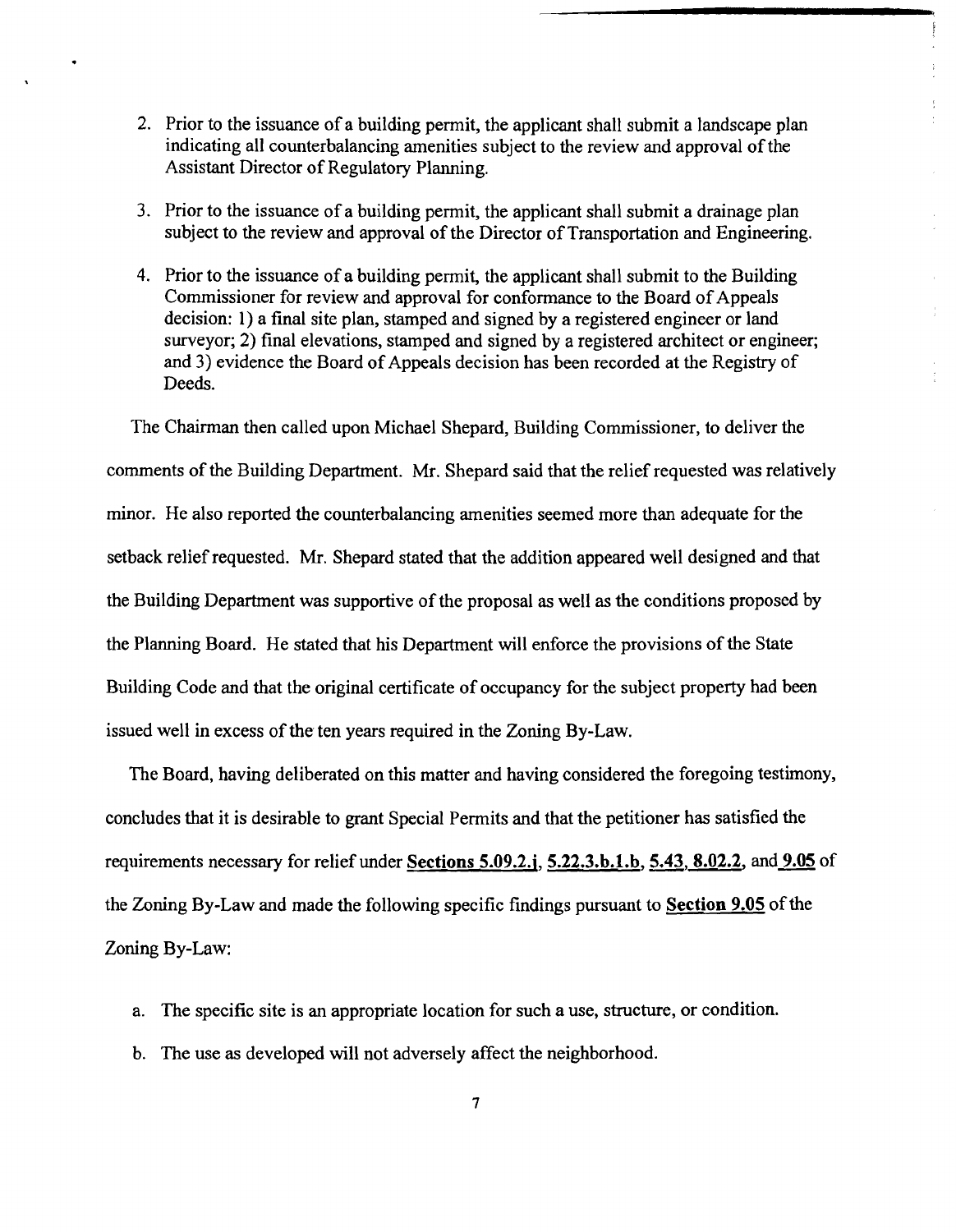- 2. Prior to the issuance of a building permit, the applicant shall submit a landscape plan indicating all counterbalancing amenities subject to the review and approval of the Assistant Director of Regulatory Planning.
- 3. Prior to the issuance of a building permit, the applicant shall submit a drainage plan subject to the review and approval of the Director of Transportation and Engineering.
- 4. Prior to the issuance of a building permit, the applicant shall submit to the Building Commissioner for review and approval for conformance to the Board of Appeals decision: 1) a final site plan, stamped and signed by a registered engineer or land surveyor; 2) final elevations, stamped and signed by a registered architect or engineer; and 3) evidence the Board of Appeals decision has been recorded at the Registry of Deeds.

The Chairman then called upon Michael Shepard, Building Commissioner, to deliver the comments of the Building Department. Mr. Shepard said that the relief requested was relatively minor. He also reported the counterbalancing amenities seemed more than adequate for the setback relief requested. Mr. Shepard stated that the addition appeared well designed and that the Building Department was supportive of the proposal as well as the conditions proposed by the Planning Board. He stated that his Department will enforce the provisions of the State Building Code and that the original certificate of occupancy for the subject property had been issued well in excess of the ten years required in the Zoning By-Law.

The Board, having deliberated on this matter and having considered the foregoing testimony, concludes that it is desirable to grant Special Permits and that the petitioner has satisfied the requirements necessary for relief under Sections 5.09.2.j, 5.22.3.b.1.b, 5.43, 8.02.2, and 9.05 of the Zoning By-Law and made the following specific findings pursuant to Section  $9.05$  of the Zoning By-Law:

- a. The specific site is an appropriate location for such a use, structure, or condition.
- b. The use as developed will not adversely affect the neighborhood.